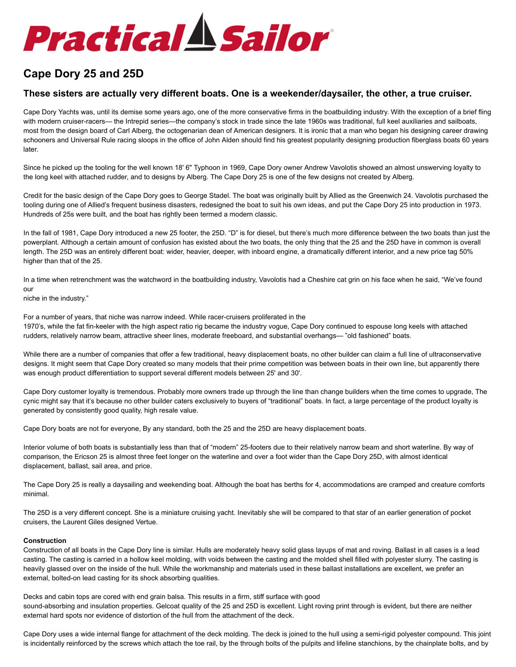# **Practical A Sailor**

# **Cape Dory 25 and 25D**

# **These sisters are actually very different boats. One is a weekender/daysailer, the other, a true cruiser.**

Cape Dory Yachts was, until its demise some years ago, one of the more conservative firms in the boatbuilding industry. With the exception of a brief fling with modern cruiser-racers— the Intrepid series—the company's stock in trade since the late 1960s was traditional, full keel auxiliaries and sailboats, most from the design board of Carl Alberg, the octogenarian dean of American designers. It is ironic that a man who began his designing career drawing schooners and Universal Rule racing sloops in the office of John Alden should find his greatest popularity designing production fiberglass boats 60 years later.

Since he picked up the tooling for the well known 18' 6" Typhoon in 1969, Cape Dory owner Andrew Vavolotis showed an almost unswerving loyalty to the long keel with attached rudder, and to designs by Alberg. The Cape Dory 25 is one of the few designs not created by Alberg.

Credit for the basic design of the Cape Dory goes to George Stadel. The boat was originally built by Allied as the Greenwich 24. Vavolotis purchased the tooling during one of Allied's frequent business disasters, redesigned the boat to suit his own ideas, and put the Cape Dory 25 into production in 1973. Hundreds of 25s were built, and the boat has rightly been termed a modern classic.

In the fall of 1981, Cape Dory introduced a new 25 footer, the 25D. "D" is for diesel, but there's much more difference between the two boats than just the powerplant. Although a certain amount of confusion has existed about the two boats, the only thing that the 25 and the 25D have in common is overall length. The 25D was an entirely different boat: wider, heavier, deeper, with inboard engine, a dramatically different interior, and a new price tag 50% higher than that of the 25.

In a time when retrenchment was the watchword in the boatbuilding industry, Vavolotis had a Cheshire cat grin on his face when he said, "We've found our

niche in the industry."

For a number of years, that niche was narrow indeed. While racer-cruisers proliferated in the 1970's, while the fat fin-keeler with the high aspect ratio rig became the industry vogue, Cape Dory continued to espouse long keels with attached rudders, relatively narrow beam, attractive sheer lines, moderate freeboard, and substantial overhangs— "old fashioned" boats.

While there are a number of companies that offer a few traditional, heavy displacement boats, no other builder can claim a full line of ultraconservative designs. It might seem that Cape Dory created so many models that their prime competition was between boats in their own line, but apparently there was enough product differentiation to support several different models between 25' and 30'.

Cape Dory customer loyalty is tremendous. Probably more owners trade up through the line than change builders when the time comes to upgrade, The cynic might say that it's because no other builder caters exclusively to buyers of "traditional" boats. In fact, a large percentage of the product loyalty is generated by consistently good quality, high resale value.

Cape Dory boats are not for everyone, By any standard, both the 25 and the 25D are heavy displacement boats.

Interior volume of both boats is substantially less than that of "modern" 25-footers due to their relatively narrow beam and short waterline. By way of comparison, the Ericson 25 is almost three feet longer on the waterline and over a foot wider than the Cape Dory 25D, with almost identical displacement, ballast, sail area, and price.

The Cape Dory 25 is really a daysailing and weekending boat. Although the boat has berths for 4, accommodations are cramped and creature comforts minimal.

The 25D is a very different concept. She is a miniature cruising yacht. Inevitably she will be compared to that star of an earlier generation of pocket cruisers, the Laurent Giles designed Vertue.

### **Construction**

Construction of all boats in the Cape Dory line is similar. Hulls are moderately heavy solid glass layups of mat and roving. Ballast in all cases is a lead casting. The casting is carried in a hollow keel molding, with voids between the casting and the molded shell filled with polyester slurry. The casting is heavily glassed over on the inside of the hull. While the workmanship and materials used in these ballast installations are excellent, we prefer an external, bolted-on lead casting for its shock absorbing qualities.

Decks and cabin tops are cored with end grain balsa. This results in a firm, stiff surface with good sound-absorbing and insulation properties. Gelcoat quality of the 25 and 25D is excellent. Light roving print through is evident, but there are neither external hard spots nor evidence of distortion of the hull from the attachment of the deck.

Cape Dory uses a wide internal flange for attachment of the deck molding. The deck is joined to the hull using a semi-rigid polyester compound. This joint is incidentally reinforced by the screws which attach the toe rail, by the through bolts of the pulpits and lifeline stanchions, by the chainplate bolts, and by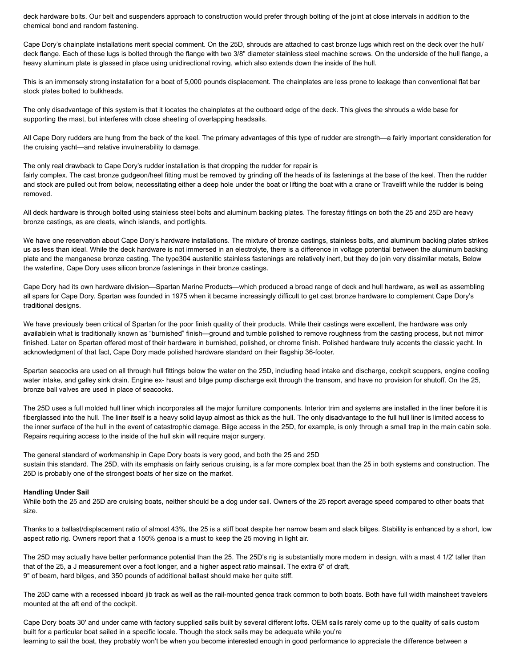deck hardware bolts. Our belt and suspenders approach to construction would prefer through bolting of the joint at close intervals in addition to the chemical bond and random fastening.

Cape Dory's chainplate installations merit special comment. On the 25D, shrouds are attached to cast bronze lugs which rest on the deck over the hull/ deck flange. Each of these lugs is bolted through the flange with two 3/8" diameter stainless steel machine screws. On the underside of the hull flange, a heavy aluminum plate is glassed in place using unidirectional roving, which also extends down the inside of the hull.

This is an immensely strong installation for a boat of 5,000 pounds displacement. The chainplates are less prone to leakage than conventional flat bar stock plates bolted to bulkheads.

The only disadvantage of this system is that it locates the chainplates at the outboard edge of the deck. This gives the shrouds a wide base for supporting the mast, but interferes with close sheeting of overlapping headsails.

All Cape Dory rudders are hung from the back of the keel. The primary advantages of this type of rudder are strength—a fairly important consideration for the cruising yacht—and relative invulnerability to damage.

The only real drawback to Cape Dory's rudder installation is that dropping the rudder for repair is fairly complex. The cast bronze gudgeon/heel fitting must be removed by grinding off the heads of its fastenings at the base of the keel. Then the rudder and stock are pulled out from below, necessitating either a deep hole under the boat or lifting the boat with a crane or Travelift while the rudder is being removed.

All deck hardware is through bolted using stainless steel bolts and aluminum backing plates. The forestay fittings on both the 25 and 25D are heavy bronze castings, as are cleats, winch islands, and portlights.

We have one reservation about Cape Dory's hardware installations. The mixture of bronze castings, stainless bolts, and aluminum backing plates strikes us as less than ideal. While the deck hardware is not immersed in an electrolyte, there is a difference in voltage potential between the aluminum backing plate and the manganese bronze casting. The type304 austenitic stainless fastenings are relatively inert, but they do join very dissimilar metals, Below the waterline, Cape Dory uses silicon bronze fastenings in their bronze castings.

Cape Dory had its own hardware division—Spartan Marine Products—which produced a broad range of deck and hull hardware, as well as assembling all spars for Cape Dory. Spartan was founded in 1975 when it became increasingly difficult to get cast bronze hardware to complement Cape Dory's traditional designs.

We have previously been critical of Spartan for the poor finish quality of their products. While their castings were excellent, the hardware was only availablein what is traditionally known as "burnished" finish—ground and tumble polished to remove roughness from the casting process, but not mirror finished. Later on Spartan offered most of their hardware in burnished, polished, or chrome finish. Polished hardware truly accents the classic yacht. In acknowledgment of that fact, Cape Dory made polished hardware standard on their flagship 36-footer.

Spartan seacocks are used on all through hull fittings below the water on the 25D, including head intake and discharge, cockpit scuppers, engine cooling water intake, and galley sink drain. Engine ex- haust and bilge pump discharge exit through the transom, and have no provision for shutoff. On the 25, bronze ball valves are used in place of seacocks.

The 25D uses a full molded hull liner which incorporates all the major furniture components. Interior trim and systems are installed in the liner before it is fiberglassed into the hull. The liner itself is a heavy solid layup almost as thick as the hull. The only disadvantage to the full hull liner is limited access to the inner surface of the hull in the event of catastrophic damage. Bilge access in the 25D, for example, is only through a small trap in the main cabin sole. Repairs requiring access to the inside of the hull skin will require major surgery.

The general standard of workmanship in Cape Dory boats is very good, and both the 25 and 25D sustain this standard. The 25D, with its emphasis on fairly serious cruising, is a far more complex boat than the 25 in both systems and construction. The 25D is probably one of the strongest boats of her size on the market.

#### **Handling Under Sail**

While both the 25 and 25D are cruising boats, neither should be a dog under sail. Owners of the 25 report average speed compared to other boats that size.

Thanks to a ballast/displacement ratio of almost 43%, the 25 is a stiff boat despite her narrow beam and slack bilges. Stability is enhanced by a short, low aspect ratio rig. Owners report that a 150% genoa is a must to keep the 25 moving in light air.

The 25D may actually have better performance potential than the 25. The 25D's rig is substantially more modern in design, with a mast 4 1/2' taller than that of the 25, a J measurement over a foot longer, and a higher aspect ratio mainsail. The extra 6" of draft, 9" of beam, hard bilges, and 350 pounds of additional ballast should make her quite stiff.

The 25D came with a recessed inboard jib track as well as the rail-mounted genoa track common to both boats. Both have full width mainsheet travelers mounted at the aft end of the cockpit.

Cape Dory boats 30' and under came with factory supplied sails built by several different lofts. OEM sails rarely come up to the quality of sails custom built for a particular boat sailed in a specific locale. Though the stock sails may be adequate while you're learning to sail the boat, they probably won't be when you become interested enough in good performance to appreciate the difference between a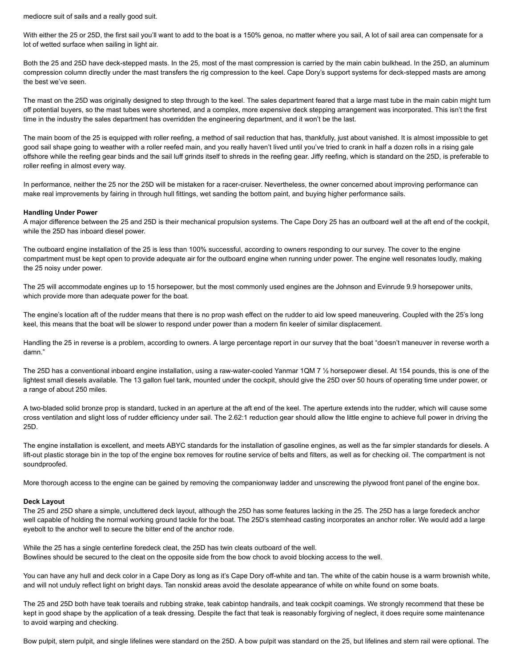mediocre suit of sails and a really good suit.

With either the 25 or 25D, the first sail you'll want to add to the boat is a 150% genoa, no matter where you sail, A lot of sail area can compensate for a lot of wetted surface when sailing in light air.

Both the 25 and 25D have deck-stepped masts. In the 25, most of the mast compression is carried by the main cabin bulkhead. In the 25D, an aluminum compression column directly under the mast transfers the rig compression to the keel. Cape Dory's support systems for deck-stepped masts are among the best we've seen.

The mast on the 25D was originally designed to step through to the keel. The sales department feared that a large mast tube in the main cabin might turn off potential buyers, so the mast tubes were shortened, and a complex, more expensive deck stepping arrangement was incorporated. This isn't the first time in the industry the sales department has overridden the engineering department, and it won't be the last.

The main boom of the 25 is equipped with roller reefing, a method of sail reduction that has, thankfully, just about vanished. It is almost impossible to get good sail shape going to weather with a roller reefed main, and you really haven't lived until you've tried to crank in half a dozen rolls in a rising gale offshore while the reefing gear binds and the sail luff grinds itself to shreds in the reefing gear. Jiffy reefing, which is standard on the 25D, is preferable to roller reefing in almost every way.

In performance, neither the 25 nor the 25D will be mistaken for a racer-cruiser. Nevertheless, the owner concerned about improving performance can make real improvements by fairing in through hull fittings, wet sanding the bottom paint, and buying higher performance sails.

#### **Handling Under Power**

A major difference between the 25 and 25D is their mechanical propulsion systems. The Cape Dory 25 has an outboard well at the aft end of the cockpit, while the 25D has inboard diesel power.

The outboard engine installation of the 25 is less than 100% successful, according to owners responding to our survey. The cover to the engine compartment must be kept open to provide adequate air for the outboard engine when running under power. The engine well resonates loudly, making the 25 noisy under power.

The 25 will accommodate engines up to 15 horsepower, but the most commonly used engines are the Johnson and Evinrude 9.9 horsepower units, which provide more than adequate power for the boat.

The engine's location aft of the rudder means that there is no prop wash effect on the rudder to aid low speed maneuvering. Coupled with the 25's long keel, this means that the boat will be slower to respond under power than a modern fin keeler of similar displacement.

Handling the 25 in reverse is a problem, according to owners. A large percentage report in our survey that the boat "doesn't maneuver in reverse worth a damn."

The 25D has a conventional inboard engine installation, using a raw-water-cooled Yanmar 1QM 7 ½ horsepower diesel. At 154 pounds, this is one of the lightest small diesels available. The 13 gallon fuel tank, mounted under the cockpit, should give the 25D over 50 hours of operating time under power, or a range of about 250 miles.

A two-bladed solid bronze prop is standard, tucked in an aperture at the aft end of the keel. The aperture extends into the rudder, which will cause some cross ventilation and slight loss of rudder efficiency under sail. The 2.62:1 reduction gear should allow the little engine to achieve full power in driving the 25D.

The engine installation is excellent, and meets ABYC standards for the installation of gasoline engines, as well as the far simpler standards for diesels. A lift-out plastic storage bin in the top of the engine box removes for routine service of belts and filters, as well as for checking oil. The compartment is not soundproofed.

More thorough access to the engine can be gained by removing the companionway ladder and unscrewing the plywood front panel of the engine box.

#### **Deck Layout**

The 25 and 25D share a simple, uncluttered deck layout, although the 25D has some features lacking in the 25. The 25D has a large foredeck anchor well capable of holding the normal working ground tackle for the boat. The 25D's stemhead casting incorporates an anchor roller. We would add a large eyebolt to the anchor well to secure the bitter end of the anchor rode.

While the 25 has a single centerline foredeck cleat, the 25D has twin cleats outboard of the well. Bowlines should be secured to the cleat on the opposite side from the bow chock to avoid blocking access to the well.

You can have any hull and deck color in a Cape Dory as long as it's Cape Dory off-white and tan. The white of the cabin house is a warm brownish white, and will not unduly reflect light on bright days. Tan nonskid areas avoid the desolate appearance of white on white found on some boats.

The 25 and 25D both have teak toerails and rubbing strake, teak cabintop handrails, and teak cockpit coamings. We strongly recommend that these be kept in good shape by the application of a teak dressing. Despite the fact that teak is reasonably forgiving of neglect, it does require some maintenance to avoid warping and checking.

Bow pulpit, stern pulpit, and single lifelines were standard on the 25D. A bow pulpit was standard on the 25, but lifelines and stern rail were optional. The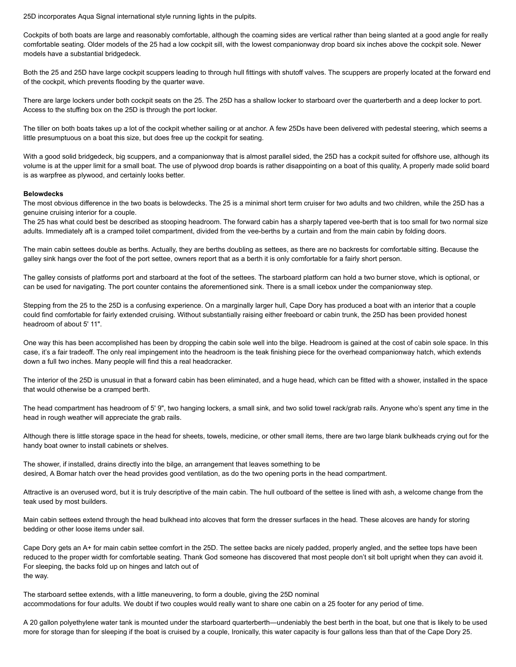25D incorporates Aqua Signal international style running lights in the pulpits.

Cockpits of both boats are large and reasonably comfortable, although the coaming sides are vertical rather than being slanted at a good angle for really comfortable seating. Older models of the 25 had a low cockpit sill, with the lowest companionway drop board six inches above the cockpit sole. Newer models have a substantial bridgedeck.

Both the 25 and 25D have large cockpit scuppers leading to through hull fittings with shutoff valves. The scuppers are properly located at the forward end of the cockpit, which prevents flooding by the quarter wave.

There are large lockers under both cockpit seats on the 25. The 25D has a shallow locker to starboard over the quarterberth and a deep locker to port. Access to the stuffing box on the 25D is through the port locker.

The tiller on both boats takes up a lot of the cockpit whether sailing or at anchor. A few 25Ds have been delivered with pedestal steering, which seems a little presumptuous on a boat this size, but does free up the cockpit for seating.

With a good solid bridgedeck, big scuppers, and a companionway that is almost parallel sided, the 25D has a cockpit suited for offshore use, although its volume is at the upper limit for a small boat. The use of plywood drop boards is rather disappointing on a boat of this quality, A properly made solid board is as warpfree as plywood, and certainly looks better.

#### **Belowdecks**

The most obvious difference in the two boats is belowdecks. The 25 is a minimal short term cruiser for two adults and two children, while the 25D has a genuine cruising interior for a couple.

The 25 has what could best be described as stooping headroom. The forward cabin has a sharply tapered vee-berth that is too small for two normal size adults. Immediately aft is a cramped toilet compartment, divided from the vee-berths by a curtain and from the main cabin by folding doors.

The main cabin settees double as berths. Actually, they are berths doubling as settees, as there are no backrests for comfortable sitting. Because the galley sink hangs over the foot of the port settee, owners report that as a berth it is only comfortable for a fairly short person.

The galley consists of platforms port and starboard at the foot of the settees. The starboard platform can hold a two burner stove, which is optional, or can be used for navigating. The port counter contains the aforementioned sink. There is a small icebox under the companionway step.

Stepping from the 25 to the 25D is a confusing experience. On a marginally larger hull, Cape Dory has produced a boat with an interior that a couple could find comfortable for fairly extended cruising. Without substantially raising either freeboard or cabin trunk, the 25D has been provided honest headroom of about 5' 11".

One way this has been accomplished has been by dropping the cabin sole well into the bilge. Headroom is gained at the cost of cabin sole space. In this case, it's a fair tradeoff. The only real impingement into the headroom is the teak finishing piece for the overhead companionway hatch, which extends down a full two inches. Many people will find this a real headcracker.

The interior of the 25D is unusual in that a forward cabin has been eliminated, and a huge head, which can be fitted with a shower, installed in the space that would otherwise be a cramped berth.

The head compartment has headroom of 5' 9", two hanging lockers, a small sink, and two solid towel rack/grab rails. Anyone who's spent any time in the head in rough weather will appreciate the grab rails.

Although there is little storage space in the head for sheets, towels, medicine, or other small items, there are two large blank bulkheads crying out for the handy boat owner to install cabinets or shelves.

The shower, if installed, drains directly into the bilge, an arrangement that leaves something to be desired, A Bomar hatch over the head provides good ventilation, as do the two opening ports in the head compartment.

Attractive is an overused word, but it is truly descriptive of the main cabin. The hull outboard of the settee is lined with ash, a welcome change from the teak used by most builders.

Main cabin settees extend through the head bulkhead into alcoves that form the dresser surfaces in the head. These alcoves are handy for storing bedding or other loose items under sail.

Cape Dory gets an A+ for main cabin settee comfort in the 25D. The settee backs are nicely padded, properly angled, and the settee tops have been reduced to the proper width for comfortable seating. Thank God someone has discovered that most people don't sit bolt upright when they can avoid it. For sleeping, the backs fold up on hinges and latch out of the way.

The starboard settee extends, with a little maneuvering, to form a double, giving the 25D nominal accommodations for four adults. We doubt if two couples would really want to share one cabin on a 25 footer for any period of time.

A 20 gallon polyethylene water tank is mounted under the starboard quarterberth—undeniably the best berth in the boat, but one that is likely to be used more for storage than for sleeping if the boat is cruised by a couple, Ironically, this water capacity is four gallons less than that of the Cape Dory 25.